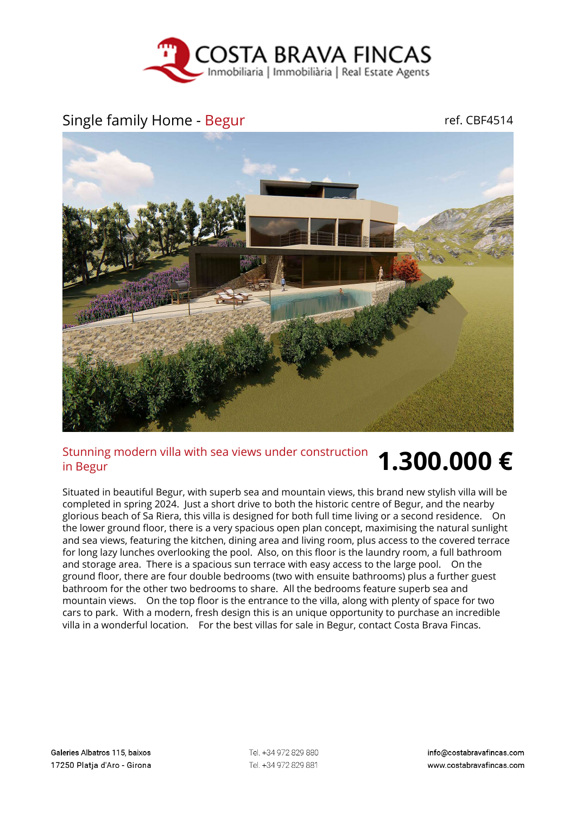

## Single family Home - Begur ref. CBF4514



## Stunning modern villa with sea views under construction in Begur **1.300.000 €**

Situated in beautiful Begur, with superb sea and mountain views, this brand new stylish villa will be completed in spring 2024. Just a short drive to both the historic centre of Begur, and the nearby glorious beach of Sa Riera, this villa is designed for both full time living or a second residence. On the lower ground floor, there is a very spacious open plan concept, maximising the natural sunlight and sea views, featuring the kitchen, dining area and living room, plus access to the covered terrace for long lazy lunches overlooking the pool. Also, on this floor is the laundry room, a full bathroom and storage area. There is a spacious sun terrace with easy access to the large pool. On the ground floor, there are four double bedrooms (two with ensuite bathrooms) plus a further guest bathroom for the other two bedrooms to share. All the bedrooms feature superb sea and mountain views. On the top floor is the entrance to the villa, along with plenty of space for two cars to park. With a modern, fresh design this is an unique opportunity to purchase an incredible villa in a wonderful location. For the best villas for sale in Begur, contact Costa Brava Fincas.